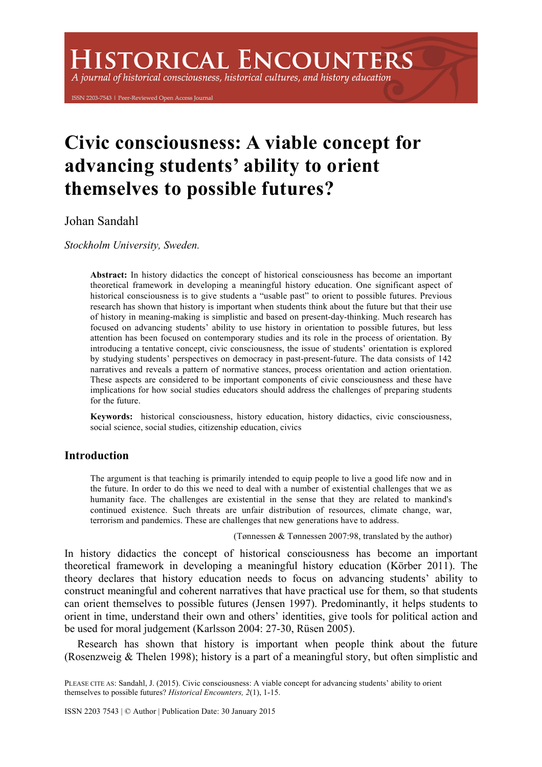# **HISTORICAL ENCOUNTERS**

A journal of historical consciousness, historical cultures, and history education

ISSN 2203-7543 | Peer-Reviewed Open Access Journal

# **Civic consciousness: A viable concept for advancing students' ability to orient themselves to possible futures?**

Johan Sandahl

*Stockholm University, Sweden.*

**Abstract:** In history didactics the concept of historical consciousness has become an important theoretical framework in developing a meaningful history education. One significant aspect of historical consciousness is to give students a "usable past" to orient to possible futures. Previous research has shown that history is important when students think about the future but that their use of history in meaning-making is simplistic and based on present-day-thinking. Much research has focused on advancing students' ability to use history in orientation to possible futures, but less attention has been focused on contemporary studies and its role in the process of orientation. By introducing a tentative concept, civic consciousness, the issue of students' orientation is explored by studying students' perspectives on democracy in past-present-future. The data consists of 142 narratives and reveals a pattern of normative stances, process orientation and action orientation. These aspects are considered to be important components of civic consciousness and these have implications for how social studies educators should address the challenges of preparing students for the future.

**Keywords:** historical consciousness, history education, history didactics, civic consciousness, social science, social studies, citizenship education, civics

# **Introduction**

The argument is that teaching is primarily intended to equip people to live a good life now and in the future. In order to do this we need to deal with a number of existential challenges that we as humanity face. The challenges are existential in the sense that they are related to mankind's continued existence. Such threats are unfair distribution of resources, climate change, war, terrorism and pandemics. These are challenges that new generations have to address.

(Tønnessen & Tønnessen 2007:98, translated by the author)

In history didactics the concept of historical consciousness has become an important theoretical framework in developing a meaningful history education (Körber 2011). The theory declares that history education needs to focus on advancing students' ability to construct meaningful and coherent narratives that have practical use for them, so that students can orient themselves to possible futures (Jensen 1997). Predominantly, it helps students to orient in time, understand their own and others' identities, give tools for political action and be used for moral judgement (Karlsson 2004: 27-30, Rüsen 2005).

Research has shown that history is important when people think about the future (Rosenzweig & Thelen 1998); history is a part of a meaningful story, but often simplistic and

PLEASE CITE AS: Sandahl, J. (2015). Civic consciousness: A viable concept for advancing students' ability to orient themselves to possible futures? *Historical Encounters, 2*(1), 1-15.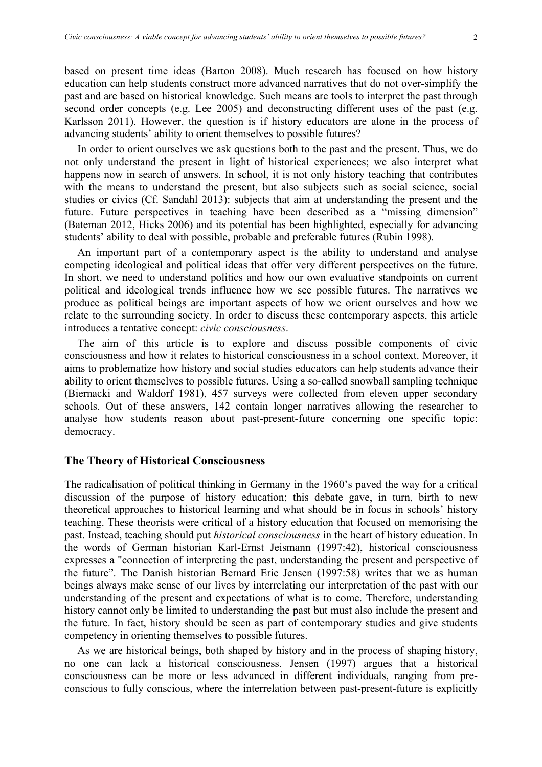based on present time ideas (Barton 2008). Much research has focused on how history education can help students construct more advanced narratives that do not over-simplify the past and are based on historical knowledge. Such means are tools to interpret the past through second order concepts (e.g. Lee 2005) and deconstructing different uses of the past (e.g. Karlsson 2011). However, the question is if history educators are alone in the process of advancing students' ability to orient themselves to possible futures?

In order to orient ourselves we ask questions both to the past and the present. Thus, we do not only understand the present in light of historical experiences; we also interpret what happens now in search of answers. In school, it is not only history teaching that contributes with the means to understand the present, but also subjects such as social science, social studies or civics (Cf. Sandahl 2013): subjects that aim at understanding the present and the future. Future perspectives in teaching have been described as a "missing dimension" (Bateman 2012, Hicks 2006) and its potential has been highlighted, especially for advancing students' ability to deal with possible, probable and preferable futures (Rubin 1998).

An important part of a contemporary aspect is the ability to understand and analyse competing ideological and political ideas that offer very different perspectives on the future. In short, we need to understand politics and how our own evaluative standpoints on current political and ideological trends influence how we see possible futures. The narratives we produce as political beings are important aspects of how we orient ourselves and how we relate to the surrounding society. In order to discuss these contemporary aspects, this article introduces a tentative concept: *civic consciousness*.

The aim of this article is to explore and discuss possible components of civic consciousness and how it relates to historical consciousness in a school context. Moreover, it aims to problematize how history and social studies educators can help students advance their ability to orient themselves to possible futures. Using a so-called snowball sampling technique (Biernacki and Waldorf 1981), 457 surveys were collected from eleven upper secondary schools. Out of these answers, 142 contain longer narratives allowing the researcher to analyse how students reason about past-present-future concerning one specific topic: democracy.

#### **The Theory of Historical Consciousness**

The radicalisation of political thinking in Germany in the 1960's paved the way for a critical discussion of the purpose of history education; this debate gave, in turn, birth to new theoretical approaches to historical learning and what should be in focus in schools' history teaching. These theorists were critical of a history education that focused on memorising the past. Instead, teaching should put *historical consciousness* in the heart of history education. In the words of German historian Karl-Ernst Jeismann (1997:42), historical consciousness expresses a "connection of interpreting the past, understanding the present and perspective of the future". The Danish historian Bernard Eric Jensen (1997:58) writes that we as human beings always make sense of our lives by interrelating our interpretation of the past with our understanding of the present and expectations of what is to come. Therefore, understanding history cannot only be limited to understanding the past but must also include the present and the future. In fact, history should be seen as part of contemporary studies and give students competency in orienting themselves to possible futures.

As we are historical beings, both shaped by history and in the process of shaping history, no one can lack a historical consciousness. Jensen (1997) argues that a historical consciousness can be more or less advanced in different individuals, ranging from preconscious to fully conscious, where the interrelation between past-present-future is explicitly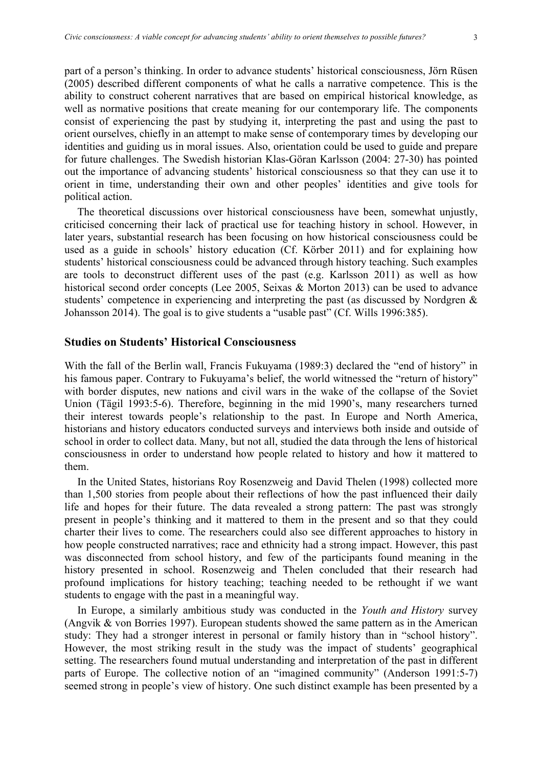part of a person's thinking. In order to advance students' historical consciousness, Jörn Rüsen (2005) described different components of what he calls a narrative competence. This is the ability to construct coherent narratives that are based on empirical historical knowledge, as well as normative positions that create meaning for our contemporary life. The components consist of experiencing the past by studying it, interpreting the past and using the past to orient ourselves, chiefly in an attempt to make sense of contemporary times by developing our identities and guiding us in moral issues. Also, orientation could be used to guide and prepare for future challenges. The Swedish historian Klas-Göran Karlsson (2004: 27-30) has pointed out the importance of advancing students' historical consciousness so that they can use it to orient in time, understanding their own and other peoples' identities and give tools for political action.

The theoretical discussions over historical consciousness have been, somewhat unjustly, criticised concerning their lack of practical use for teaching history in school. However, in later years, substantial research has been focusing on how historical consciousness could be used as a guide in schools' history education (Cf. Körber 2011) and for explaining how students' historical consciousness could be advanced through history teaching. Such examples are tools to deconstruct different uses of the past (e.g. Karlsson 2011) as well as how historical second order concepts (Lee 2005, Seixas & Morton 2013) can be used to advance students' competence in experiencing and interpreting the past (as discussed by Nordgren & Johansson 2014). The goal is to give students a "usable past" (Cf. Wills 1996:385).

# **Studies on Students' Historical Consciousness**

With the fall of the Berlin wall, Francis Fukuyama (1989:3) declared the "end of history" in his famous paper. Contrary to Fukuyama's belief, the world witnessed the "return of history" with border disputes, new nations and civil wars in the wake of the collapse of the Soviet Union (Tägil 1993:5-6). Therefore, beginning in the mid 1990's, many researchers turned their interest towards people's relationship to the past. In Europe and North America, historians and history educators conducted surveys and interviews both inside and outside of school in order to collect data. Many, but not all, studied the data through the lens of historical consciousness in order to understand how people related to history and how it mattered to them.

In the United States, historians Roy Rosenzweig and David Thelen (1998) collected more than 1,500 stories from people about their reflections of how the past influenced their daily life and hopes for their future. The data revealed a strong pattern: The past was strongly present in people's thinking and it mattered to them in the present and so that they could charter their lives to come. The researchers could also see different approaches to history in how people constructed narratives; race and ethnicity had a strong impact. However, this past was disconnected from school history, and few of the participants found meaning in the history presented in school. Rosenzweig and Thelen concluded that their research had profound implications for history teaching; teaching needed to be rethought if we want students to engage with the past in a meaningful way.

In Europe, a similarly ambitious study was conducted in the *Youth and History* survey (Angvik & von Borries 1997). European students showed the same pattern as in the American study: They had a stronger interest in personal or family history than in "school history". However, the most striking result in the study was the impact of students' geographical setting. The researchers found mutual understanding and interpretation of the past in different parts of Europe. The collective notion of an "imagined community" (Anderson 1991:5-7) seemed strong in people's view of history. One such distinct example has been presented by a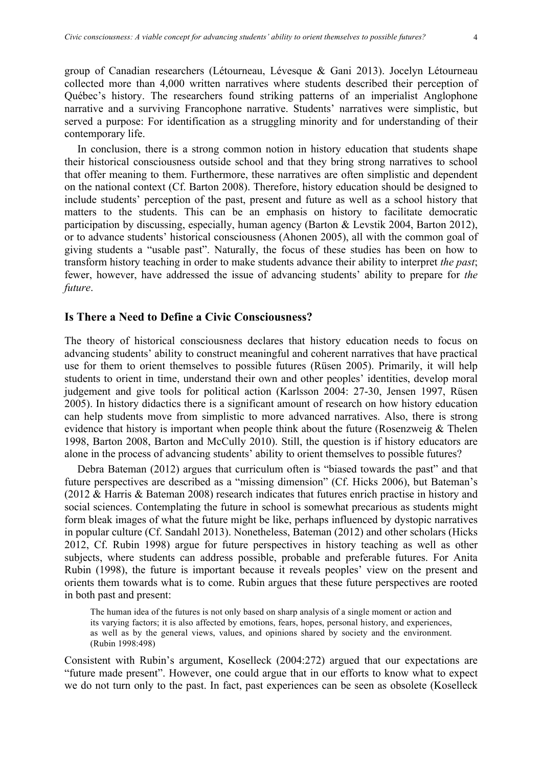group of Canadian researchers (Létourneau, Lévesque & Gani 2013). Jocelyn Létourneau collected more than 4,000 written narratives where students described their perception of Québec's history. The researchers found striking patterns of an imperialist Anglophone narrative and a surviving Francophone narrative. Students' narratives were simplistic, but served a purpose: For identification as a struggling minority and for understanding of their contemporary life.

In conclusion, there is a strong common notion in history education that students shape their historical consciousness outside school and that they bring strong narratives to school that offer meaning to them. Furthermore, these narratives are often simplistic and dependent on the national context (Cf. Barton 2008). Therefore, history education should be designed to include students' perception of the past, present and future as well as a school history that matters to the students. This can be an emphasis on history to facilitate democratic participation by discussing, especially, human agency (Barton & Levstik 2004, Barton 2012), or to advance students' historical consciousness (Ahonen 2005), all with the common goal of giving students a "usable past". Naturally, the focus of these studies has been on how to transform history teaching in order to make students advance their ability to interpret *the past*; fewer, however, have addressed the issue of advancing students' ability to prepare for *the future*.

### **Is There a Need to Define a Civic Consciousness?**

The theory of historical consciousness declares that history education needs to focus on advancing students' ability to construct meaningful and coherent narratives that have practical use for them to orient themselves to possible futures (Rüsen 2005). Primarily, it will help students to orient in time, understand their own and other peoples' identities, develop moral judgement and give tools for political action (Karlsson 2004: 27-30, Jensen 1997, Rüsen 2005). In history didactics there is a significant amount of research on how history education can help students move from simplistic to more advanced narratives. Also, there is strong evidence that history is important when people think about the future (Rosenzweig & Thelen 1998, Barton 2008, Barton and McCully 2010). Still, the question is if history educators are alone in the process of advancing students' ability to orient themselves to possible futures?

Debra Bateman (2012) argues that curriculum often is "biased towards the past" and that future perspectives are described as a "missing dimension" (Cf. Hicks 2006), but Bateman's (2012 & Harris & Bateman 2008) research indicates that futures enrich practise in history and social sciences. Contemplating the future in school is somewhat precarious as students might form bleak images of what the future might be like, perhaps influenced by dystopic narratives in popular culture (Cf. Sandahl 2013). Nonetheless, Bateman (2012) and other scholars (Hicks 2012, Cf. Rubin 1998) argue for future perspectives in history teaching as well as other subjects, where students can address possible, probable and preferable futures. For Anita Rubin (1998), the future is important because it reveals peoples' view on the present and orients them towards what is to come. Rubin argues that these future perspectives are rooted in both past and present:

The human idea of the futures is not only based on sharp analysis of a single moment or action and its varying factors; it is also affected by emotions, fears, hopes, personal history, and experiences, as well as by the general views, values, and opinions shared by society and the environment. (Rubin 1998:498)

Consistent with Rubin's argument, Koselleck (2004:272) argued that our expectations are "future made present". However, one could argue that in our efforts to know what to expect we do not turn only to the past. In fact, past experiences can be seen as obsolete (Koselleck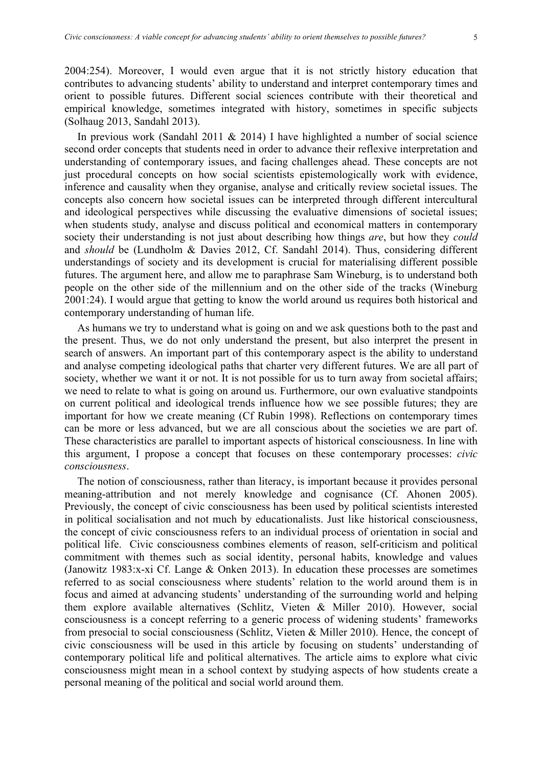2004:254). Moreover, I would even argue that it is not strictly history education that contributes to advancing students' ability to understand and interpret contemporary times and orient to possible futures. Different social sciences contribute with their theoretical and empirical knowledge, sometimes integrated with history, sometimes in specific subjects (Solhaug 2013, Sandahl 2013).

In previous work (Sandahl 2011  $& 2014$ ) I have highlighted a number of social science second order concepts that students need in order to advance their reflexive interpretation and understanding of contemporary issues, and facing challenges ahead. These concepts are not just procedural concepts on how social scientists epistemologically work with evidence, inference and causality when they organise, analyse and critically review societal issues. The concepts also concern how societal issues can be interpreted through different intercultural and ideological perspectives while discussing the evaluative dimensions of societal issues; when students study, analyse and discuss political and economical matters in contemporary society their understanding is not just about describing how things *are*, but how they *could* and *should* be (Lundholm & Davies 2012, Cf. Sandahl 2014). Thus, considering different understandings of society and its development is crucial for materialising different possible futures. The argument here, and allow me to paraphrase Sam Wineburg, is to understand both people on the other side of the millennium and on the other side of the tracks (Wineburg 2001:24). I would argue that getting to know the world around us requires both historical and contemporary understanding of human life.

As humans we try to understand what is going on and we ask questions both to the past and the present. Thus, we do not only understand the present, but also interpret the present in search of answers. An important part of this contemporary aspect is the ability to understand and analyse competing ideological paths that charter very different futures. We are all part of society, whether we want it or not. It is not possible for us to turn away from societal affairs; we need to relate to what is going on around us. Furthermore, our own evaluative standpoints on current political and ideological trends influence how we see possible futures; they are important for how we create meaning (Cf Rubin 1998). Reflections on contemporary times can be more or less advanced, but we are all conscious about the societies we are part of. These characteristics are parallel to important aspects of historical consciousness. In line with this argument, I propose a concept that focuses on these contemporary processes: *civic consciousness*.

The notion of consciousness, rather than literacy, is important because it provides personal meaning-attribution and not merely knowledge and cognisance (Cf. Ahonen 2005). Previously, the concept of civic consciousness has been used by political scientists interested in political socialisation and not much by educationalists. Just like historical consciousness, the concept of civic consciousness refers to an individual process of orientation in social and political life. Civic consciousness combines elements of reason, self-criticism and political commitment with themes such as social identity, personal habits, knowledge and values (Janowitz 1983:x-xi Cf. Lange & Onken 2013). In education these processes are sometimes referred to as social consciousness where students' relation to the world around them is in focus and aimed at advancing students' understanding of the surrounding world and helping them explore available alternatives (Schlitz, Vieten & Miller 2010). However, social consciousness is a concept referring to a generic process of widening students' frameworks from presocial to social consciousness (Schlitz, Vieten & Miller 2010). Hence, the concept of civic consciousness will be used in this article by focusing on students' understanding of contemporary political life and political alternatives. The article aims to explore what civic consciousness might mean in a school context by studying aspects of how students create a personal meaning of the political and social world around them.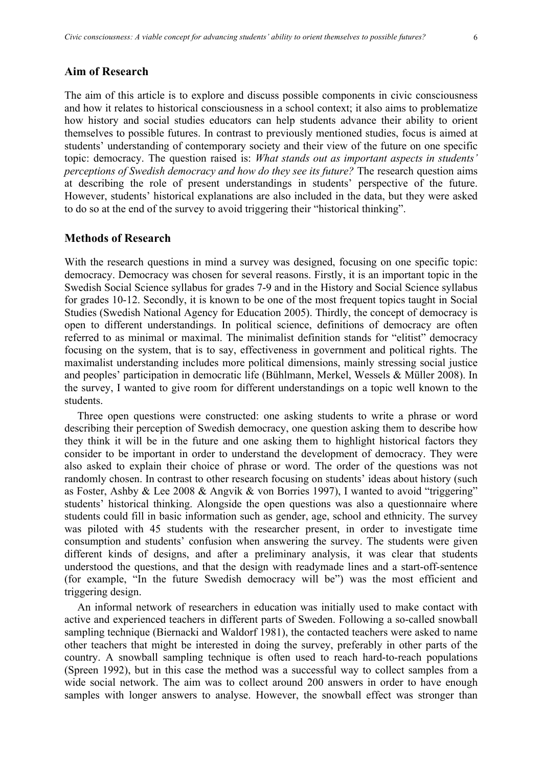#### **Aim of Research**

The aim of this article is to explore and discuss possible components in civic consciousness and how it relates to historical consciousness in a school context; it also aims to problematize how history and social studies educators can help students advance their ability to orient themselves to possible futures. In contrast to previously mentioned studies, focus is aimed at students' understanding of contemporary society and their view of the future on one specific topic: democracy. The question raised is: *What stands out as important aspects in students' perceptions of Swedish democracy and how do they see its future?* The research question aims at describing the role of present understandings in students' perspective of the future. However, students' historical explanations are also included in the data, but they were asked to do so at the end of the survey to avoid triggering their "historical thinking".

# **Methods of Research**

With the research questions in mind a survey was designed, focusing on one specific topic: democracy. Democracy was chosen for several reasons. Firstly, it is an important topic in the Swedish Social Science syllabus for grades 7-9 and in the History and Social Science syllabus for grades 10-12. Secondly, it is known to be one of the most frequent topics taught in Social Studies (Swedish National Agency for Education 2005). Thirdly, the concept of democracy is open to different understandings. In political science, definitions of democracy are often referred to as minimal or maximal. The minimalist definition stands for "elitist" democracy focusing on the system, that is to say, effectiveness in government and political rights. The maximalist understanding includes more political dimensions, mainly stressing social justice and peoples' participation in democratic life (Bühlmann, Merkel, Wessels & Müller 2008). In the survey, I wanted to give room for different understandings on a topic well known to the students.

Three open questions were constructed: one asking students to write a phrase or word describing their perception of Swedish democracy, one question asking them to describe how they think it will be in the future and one asking them to highlight historical factors they consider to be important in order to understand the development of democracy. They were also asked to explain their choice of phrase or word. The order of the questions was not randomly chosen. In contrast to other research focusing on students' ideas about history (such as Foster, Ashby & Lee 2008 & Angvik & von Borries 1997), I wanted to avoid "triggering" students' historical thinking. Alongside the open questions was also a questionnaire where students could fill in basic information such as gender, age, school and ethnicity. The survey was piloted with 45 students with the researcher present, in order to investigate time consumption and students' confusion when answering the survey. The students were given different kinds of designs, and after a preliminary analysis, it was clear that students understood the questions, and that the design with readymade lines and a start-off-sentence (for example, "In the future Swedish democracy will be") was the most efficient and triggering design.

An informal network of researchers in education was initially used to make contact with active and experienced teachers in different parts of Sweden. Following a so-called snowball sampling technique (Biernacki and Waldorf 1981), the contacted teachers were asked to name other teachers that might be interested in doing the survey, preferably in other parts of the country. A snowball sampling technique is often used to reach hard-to-reach populations (Spreen 1992), but in this case the method was a successful way to collect samples from a wide social network. The aim was to collect around 200 answers in order to have enough samples with longer answers to analyse. However, the snowball effect was stronger than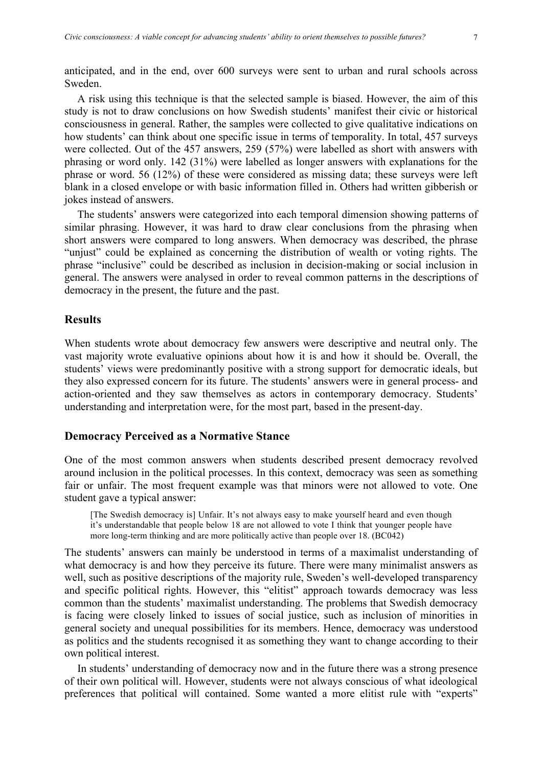anticipated, and in the end, over 600 surveys were sent to urban and rural schools across Sweden.

A risk using this technique is that the selected sample is biased. However, the aim of this study is not to draw conclusions on how Swedish students' manifest their civic or historical consciousness in general. Rather, the samples were collected to give qualitative indications on how students' can think about one specific issue in terms of temporality. In total, 457 surveys were collected. Out of the 457 answers, 259 (57%) were labelled as short with answers with phrasing or word only. 142 (31%) were labelled as longer answers with explanations for the phrase or word. 56 (12%) of these were considered as missing data; these surveys were left blank in a closed envelope or with basic information filled in. Others had written gibberish or jokes instead of answers.

The students' answers were categorized into each temporal dimension showing patterns of similar phrasing. However, it was hard to draw clear conclusions from the phrasing when short answers were compared to long answers. When democracy was described, the phrase "unjust" could be explained as concerning the distribution of wealth or voting rights. The phrase "inclusive" could be described as inclusion in decision-making or social inclusion in general. The answers were analysed in order to reveal common patterns in the descriptions of democracy in the present, the future and the past.

# **Results**

When students wrote about democracy few answers were descriptive and neutral only. The vast majority wrote evaluative opinions about how it is and how it should be. Overall, the students' views were predominantly positive with a strong support for democratic ideals, but they also expressed concern for its future. The students' answers were in general process- and action-oriented and they saw themselves as actors in contemporary democracy. Students' understanding and interpretation were, for the most part, based in the present-day.

# **Democracy Perceived as a Normative Stance**

One of the most common answers when students described present democracy revolved around inclusion in the political processes. In this context, democracy was seen as something fair or unfair. The most frequent example was that minors were not allowed to vote. One student gave a typical answer:

[The Swedish democracy is] Unfair. It's not always easy to make yourself heard and even though it's understandable that people below 18 are not allowed to vote I think that younger people have more long-term thinking and are more politically active than people over 18. (BC042)

The students' answers can mainly be understood in terms of a maximalist understanding of what democracy is and how they perceive its future. There were many minimalist answers as well, such as positive descriptions of the majority rule, Sweden's well-developed transparency and specific political rights. However, this "elitist" approach towards democracy was less common than the students' maximalist understanding. The problems that Swedish democracy is facing were closely linked to issues of social justice, such as inclusion of minorities in general society and unequal possibilities for its members. Hence, democracy was understood as politics and the students recognised it as something they want to change according to their own political interest.

In students' understanding of democracy now and in the future there was a strong presence of their own political will. However, students were not always conscious of what ideological preferences that political will contained. Some wanted a more elitist rule with "experts"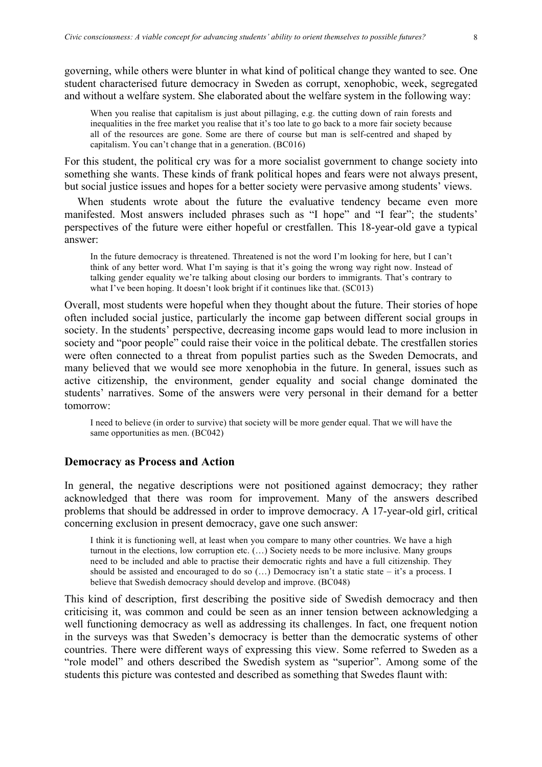governing, while others were blunter in what kind of political change they wanted to see. One student characterised future democracy in Sweden as corrupt, xenophobic, week, segregated and without a welfare system. She elaborated about the welfare system in the following way:

When you realise that capitalism is just about pillaging, e.g. the cutting down of rain forests and inequalities in the free market you realise that it's too late to go back to a more fair society because all of the resources are gone. Some are there of course but man is self-centred and shaped by capitalism. You can't change that in a generation. (BC016)

For this student, the political cry was for a more socialist government to change society into something she wants. These kinds of frank political hopes and fears were not always present, but social justice issues and hopes for a better society were pervasive among students' views.

When students wrote about the future the evaluative tendency became even more manifested. Most answers included phrases such as "I hope" and "I fear"; the students' perspectives of the future were either hopeful or crestfallen. This 18-year-old gave a typical answer:

In the future democracy is threatened. Threatened is not the word I'm looking for here, but I can't think of any better word. What I'm saying is that it's going the wrong way right now. Instead of talking gender equality we're talking about closing our borders to immigrants. That's contrary to what I've been hoping. It doesn't look bright if it continues like that. (SC013)

Overall, most students were hopeful when they thought about the future. Their stories of hope often included social justice, particularly the income gap between different social groups in society. In the students' perspective, decreasing income gaps would lead to more inclusion in society and "poor people" could raise their voice in the political debate. The crestfallen stories were often connected to a threat from populist parties such as the Sweden Democrats, and many believed that we would see more xenophobia in the future. In general, issues such as active citizenship, the environment, gender equality and social change dominated the students' narratives. Some of the answers were very personal in their demand for a better tomorrow:

I need to believe (in order to survive) that society will be more gender equal. That we will have the same opportunities as men. (BC042)

### **Democracy as Process and Action**

In general, the negative descriptions were not positioned against democracy; they rather acknowledged that there was room for improvement. Many of the answers described problems that should be addressed in order to improve democracy. A 17-year-old girl, critical concerning exclusion in present democracy, gave one such answer:

I think it is functioning well, at least when you compare to many other countries. We have a high turnout in the elections, low corruption etc. (…) Society needs to be more inclusive. Many groups need to be included and able to practise their democratic rights and have a full citizenship. They should be assisted and encouraged to do so (…) Democracy isn't a static state – it's a process. I believe that Swedish democracy should develop and improve. (BC048)

This kind of description, first describing the positive side of Swedish democracy and then criticising it, was common and could be seen as an inner tension between acknowledging a well functioning democracy as well as addressing its challenges. In fact, one frequent notion in the surveys was that Sweden's democracy is better than the democratic systems of other countries. There were different ways of expressing this view. Some referred to Sweden as a "role model" and others described the Swedish system as "superior". Among some of the students this picture was contested and described as something that Swedes flaunt with: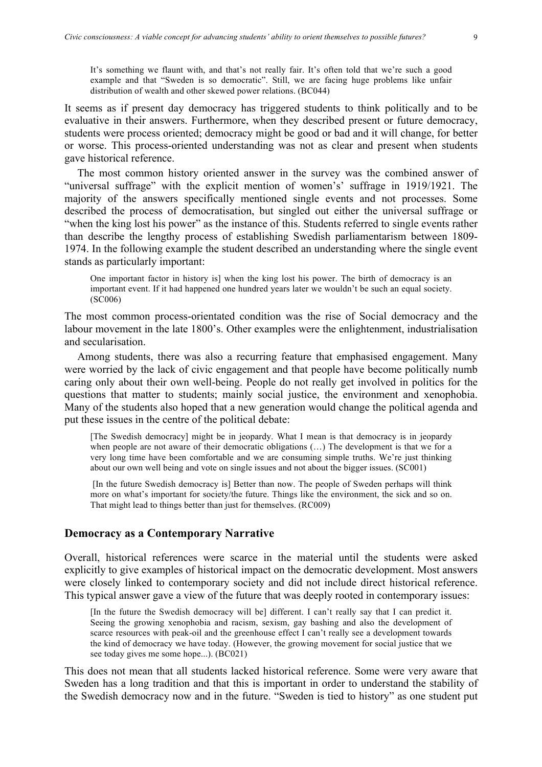It's something we flaunt with, and that's not really fair. It's often told that we're such a good example and that "Sweden is so democratic". Still, we are facing huge problems like unfair distribution of wealth and other skewed power relations. (BC044)

It seems as if present day democracy has triggered students to think politically and to be evaluative in their answers. Furthermore, when they described present or future democracy, students were process oriented; democracy might be good or bad and it will change, for better or worse. This process-oriented understanding was not as clear and present when students gave historical reference.

The most common history oriented answer in the survey was the combined answer of "universal suffrage" with the explicit mention of women's' suffrage in 1919/1921. The majority of the answers specifically mentioned single events and not processes. Some described the process of democratisation, but singled out either the universal suffrage or "when the king lost his power" as the instance of this. Students referred to single events rather than describe the lengthy process of establishing Swedish parliamentarism between 1809- 1974. In the following example the student described an understanding where the single event stands as particularly important:

One important factor in history is] when the king lost his power. The birth of democracy is an important event. If it had happened one hundred years later we wouldn't be such an equal society. (SC006)

The most common process-orientated condition was the rise of Social democracy and the labour movement in the late 1800's. Other examples were the enlightenment, industrialisation and secularisation.

Among students, there was also a recurring feature that emphasised engagement. Many were worried by the lack of civic engagement and that people have become politically numb caring only about their own well-being. People do not really get involved in politics for the questions that matter to students; mainly social justice, the environment and xenophobia. Many of the students also hoped that a new generation would change the political agenda and put these issues in the centre of the political debate:

[The Swedish democracy] might be in jeopardy. What I mean is that democracy is in jeopardy when people are not aware of their democratic obligations (…) The development is that we for a very long time have been comfortable and we are consuming simple truths. We're just thinking about our own well being and vote on single issues and not about the bigger issues. (SC001)

[In the future Swedish democracy is] Better than now. The people of Sweden perhaps will think more on what's important for society/the future. Things like the environment, the sick and so on. That might lead to things better than just for themselves. (RC009)

#### **Democracy as a Contemporary Narrative**

Overall, historical references were scarce in the material until the students were asked explicitly to give examples of historical impact on the democratic development. Most answers were closely linked to contemporary society and did not include direct historical reference. This typical answer gave a view of the future that was deeply rooted in contemporary issues:

[In the future the Swedish democracy will be] different. I can't really say that I can predict it. Seeing the growing xenophobia and racism, sexism, gay bashing and also the development of scarce resources with peak-oil and the greenhouse effect I can't really see a development towards the kind of democracy we have today. (However, the growing movement for social justice that we see today gives me some hope...). (BC021)

This does not mean that all students lacked historical reference. Some were very aware that Sweden has a long tradition and that this is important in order to understand the stability of the Swedish democracy now and in the future. "Sweden is tied to history" as one student put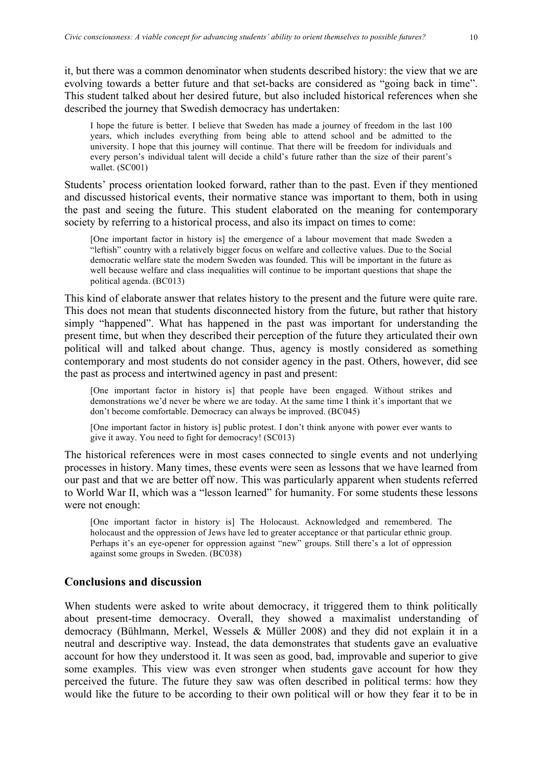it, but there was a common denominator when students described history: the view that we are evolving towards a better future and that set-backs are considered as "going back in time". This student talked about her desired future, but also included historical references when she described the journey that Swedish democracy has undertaken:

I hope the future is better. I believe that Sweden has made a journey of freedom in the last 100 years, which includes everything from being able to attend school and be admitted to the university. I hope that this journey will continue. That there will be freedom for individuals and every person's individual talent will decide a child's future rather than the size of their parent's wallet. (SC001)

Students' process orientation looked forward, rather than to the past. Even if they mentioned and discussed historical events, their normative stance was important to them, both in using the past and seeing the future. This student elaborated on the meaning for contemporary society by referring to a historical process, and also its impact on times to come:

[One important factor in history is] the emergence of a labour movement that made Sweden a "leftish" country with a relatively bigger focus on welfare and collective values. Due to the Social democratic welfare state the modern Sweden was founded. This will be important in the future as well because welfare and class inequalities will continue to be important questions that shape the political agenda. (BC013)

This kind of elaborate answer that relates history to the present and the future were quite rare. This does not mean that students disconnected history from the future, but rather that history simply "happened". What has happened in the past was important for understanding the present time, but when they described their perception of the future they articulated their own political will and talked about change. Thus, agency is mostly considered as something contemporary and most students do not consider agency in the past. Others, however, did see the past as process and intertwined agency in past and present:

[One important factor in history is] that people have been engaged. Without strikes and demonstrations we'd never be where we are today. At the same time I think it's important that we don't become comfortable. Democracy can always be improved. (BC045)

[One important factor in history is] public protest. I don't think anyone with power ever wants to give it away. You need to fight for democracy! (SC013)

The historical references were in most cases connected to single events and not underlying processes in history. Many times, these events were seen as lessons that we have learned from our past and that we are better off now. This was particularly apparent when students referred to World War II, which was a "lesson learned" for humanity. For some students these lessons were not enough:

[One important factor in history is] The Holocaust. Acknowledged and remembered. The holocaust and the oppression of Jews have led to greater acceptance or that particular ethnic group. Perhaps it's an eye-opener for oppression against "new" groups. Still there's a lot of oppression against some groups in Sweden. (BC038)

# **Conclusions and discussion**

When students were asked to write about democracy, it triggered them to think politically about present-time democracy. Overall, they showed a maximalist understanding of democracy (Bühlmann, Merkel, Wessels & Müller 2008) and they did not explain it in a neutral and descriptive way. Instead, the data demonstrates that students gave an evaluative account for how they understood it. It was seen as good, bad, improvable and superior to give some examples. This view was even stronger when students gave account for how they perceived the future. The future they saw was often described in political terms: how they would like the future to be according to their own political will or how they fear it to be in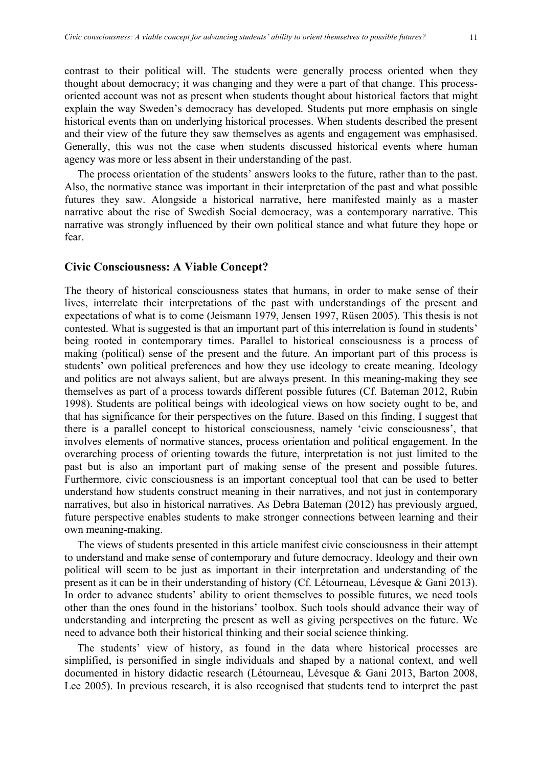contrast to their political will. The students were generally process oriented when they thought about democracy; it was changing and they were a part of that change. This processoriented account was not as present when students thought about historical factors that might explain the way Sweden's democracy has developed. Students put more emphasis on single historical events than on underlying historical processes. When students described the present and their view of the future they saw themselves as agents and engagement was emphasised. Generally, this was not the case when students discussed historical events where human agency was more or less absent in their understanding of the past.

The process orientation of the students' answers looks to the future, rather than to the past. Also, the normative stance was important in their interpretation of the past and what possible futures they saw. Alongside a historical narrative, here manifested mainly as a master narrative about the rise of Swedish Social democracy, was a contemporary narrative. This narrative was strongly influenced by their own political stance and what future they hope or fear.

# **Civic Consciousness: A Viable Concept?**

The theory of historical consciousness states that humans, in order to make sense of their lives, interrelate their interpretations of the past with understandings of the present and expectations of what is to come (Jeismann 1979, Jensen 1997, Rüsen 2005). This thesis is not contested. What is suggested is that an important part of this interrelation is found in students' being rooted in contemporary times. Parallel to historical consciousness is a process of making (political) sense of the present and the future. An important part of this process is students' own political preferences and how they use ideology to create meaning. Ideology and politics are not always salient, but are always present. In this meaning-making they see themselves as part of a process towards different possible futures (Cf. Bateman 2012, Rubin 1998). Students are political beings with ideological views on how society ought to be, and that has significance for their perspectives on the future. Based on this finding, I suggest that there is a parallel concept to historical consciousness, namely 'civic consciousness', that involves elements of normative stances, process orientation and political engagement. In the overarching process of orienting towards the future, interpretation is not just limited to the past but is also an important part of making sense of the present and possible futures. Furthermore, civic consciousness is an important conceptual tool that can be used to better understand how students construct meaning in their narratives, and not just in contemporary narratives, but also in historical narratives. As Debra Bateman (2012) has previously argued, future perspective enables students to make stronger connections between learning and their own meaning-making.

The views of students presented in this article manifest civic consciousness in their attempt to understand and make sense of contemporary and future democracy. Ideology and their own political will seem to be just as important in their interpretation and understanding of the present as it can be in their understanding of history (Cf. Létourneau, Lévesque & Gani 2013). In order to advance students' ability to orient themselves to possible futures, we need tools other than the ones found in the historians' toolbox. Such tools should advance their way of understanding and interpreting the present as well as giving perspectives on the future. We need to advance both their historical thinking and their social science thinking.

The students' view of history, as found in the data where historical processes are simplified, is personified in single individuals and shaped by a national context, and well documented in history didactic research (Létourneau, Lévesque & Gani 2013, Barton 2008, Lee 2005). In previous research, it is also recognised that students tend to interpret the past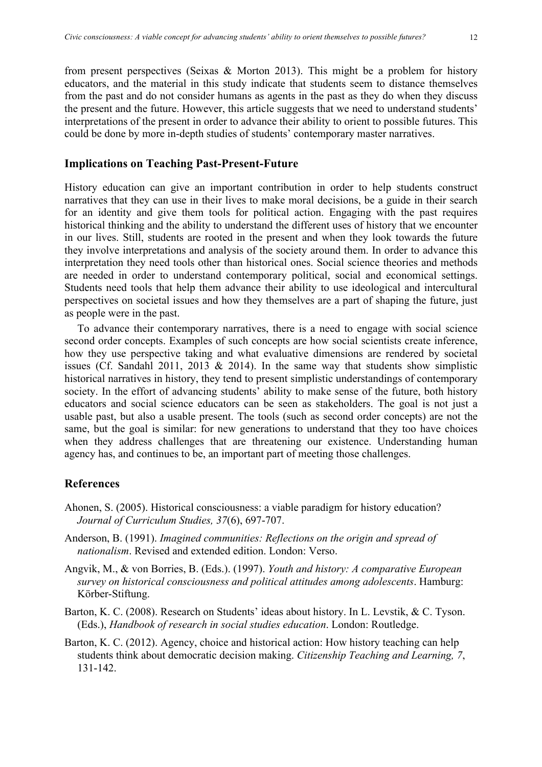from present perspectives (Seixas & Morton 2013). This might be a problem for history educators, and the material in this study indicate that students seem to distance themselves from the past and do not consider humans as agents in the past as they do when they discuss the present and the future. However, this article suggests that we need to understand students' interpretations of the present in order to advance their ability to orient to possible futures. This could be done by more in-depth studies of students' contemporary master narratives.

### **Implications on Teaching Past-Present-Future**

History education can give an important contribution in order to help students construct narratives that they can use in their lives to make moral decisions, be a guide in their search for an identity and give them tools for political action. Engaging with the past requires historical thinking and the ability to understand the different uses of history that we encounter in our lives. Still, students are rooted in the present and when they look towards the future they involve interpretations and analysis of the society around them. In order to advance this interpretation they need tools other than historical ones. Social science theories and methods are needed in order to understand contemporary political, social and economical settings. Students need tools that help them advance their ability to use ideological and intercultural perspectives on societal issues and how they themselves are a part of shaping the future, just as people were in the past.

To advance their contemporary narratives, there is a need to engage with social science second order concepts. Examples of such concepts are how social scientists create inference, how they use perspective taking and what evaluative dimensions are rendered by societal issues (Cf. Sandahl 2011, 2013  $& 2014$ ). In the same way that students show simplistic historical narratives in history, they tend to present simplistic understandings of contemporary society. In the effort of advancing students' ability to make sense of the future, both history educators and social science educators can be seen as stakeholders. The goal is not just a usable past, but also a usable present. The tools (such as second order concepts) are not the same, but the goal is similar: for new generations to understand that they too have choices when they address challenges that are threatening our existence. Understanding human agency has, and continues to be, an important part of meeting those challenges.

# **References**

- Ahonen, S. (2005). Historical consciousness: a viable paradigm for history education? *Journal of Curriculum Studies, 37*(6), 697-707.
- Anderson, B. (1991). *Imagined communities: Reflections on the origin and spread of nationalism*. Revised and extended edition. London: Verso.
- Angvik, M., & von Borries, B. (Eds.). (1997). *Youth and history: A comparative European survey on historical consciousness and political attitudes among adolescents*. Hamburg: Körber-Stiftung.
- Barton, K. C. (2008). Research on Students' ideas about history. In L. Levstik, & C. Tyson. (Eds.), *Handbook of research in social studies education*. London: Routledge.
- Barton, K. C. (2012). Agency, choice and historical action: How history teaching can help students think about democratic decision making. *Citizenship Teaching and Learning, 7*, 131-142.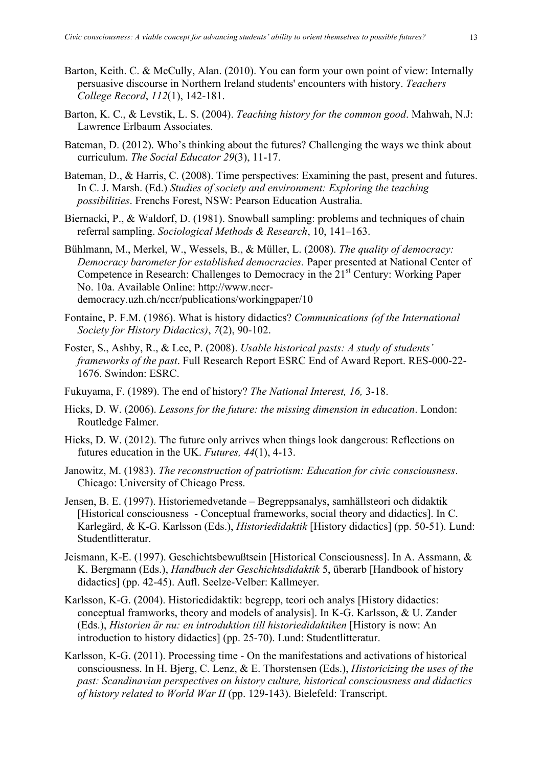- Barton, Keith. C. & McCully, Alan. (2010). You can form your own point of view: Internally persuasive discourse in Northern Ireland students' encounters with history. *Teachers College Record*, *112*(1), 142-181.
- Barton, K. C., & Levstik, L. S. (2004). *Teaching history for the common good*. Mahwah, N.J: Lawrence Erlbaum Associates.
- Bateman, D. (2012). Who's thinking about the futures? Challenging the ways we think about curriculum. *The Social Educator 29*(3), 11-17.
- Bateman, D., & Harris, C. (2008). Time perspectives: Examining the past, present and futures. In C. J. Marsh. (Ed.) *Studies of society and environment: Exploring the teaching possibilities*. Frenchs Forest, NSW: Pearson Education Australia.
- Biernacki, P., & Waldorf, D. (1981). Snowball sampling: problems and techniques of chain referral sampling. *Sociological Methods & Research*, 10, 141–163.
- Bühlmann, M., Merkel, W., Wessels, B., & Müller, L. (2008). *The quality of democracy: Democracy barometer for established democracies.* Paper presented at National Center of Competence in Research: Challenges to Democracy in the 21<sup>st</sup> Century: Working Paper No. 10a. Available Online: http://www.nccrdemocracy.uzh.ch/nccr/publications/workingpaper/10
- Fontaine, P. F.M. (1986). What is history didactics? *Communications (of the International Society for History Didactics)*, *7*(2), 90-102.
- Foster, S., Ashby, R., & Lee, P. (2008). *Usable historical pasts: A study of students' frameworks of the past*. Full Research Report ESRC End of Award Report. RES-000-22- 1676. Swindon: ESRC.
- Fukuyama, F. (1989). The end of history? *The National Interest, 16,* 3-18.
- Hicks, D. W. (2006). *Lessons for the future: the missing dimension in education*. London: Routledge Falmer.
- Hicks, D. W. (2012). The future only arrives when things look dangerous: Reflections on futures education in the UK. *Futures, 44*(1), 4-13.
- Janowitz, M. (1983). *The reconstruction of patriotism: Education for civic consciousness*. Chicago: University of Chicago Press.
- Jensen, B. E. (1997). Historiemedvetande Begreppsanalys, samhällsteori och didaktik [Historical consciousness - Conceptual frameworks, social theory and didactics]. In C. Karlegärd, & K-G. Karlsson (Eds.), *Historiedidaktik* [History didactics] (pp. 50-51). Lund: Studentlitteratur.
- Jeismann, K-E. (1997). Geschichtsbewußtsein [Historical Consciousness]. In A. Assmann, & K. Bergmann (Eds.), *Handbuch der Geschichtsdidaktik* 5, überarb [Handbook of history didactics] (pp. 42-45). Aufl. Seelze-Velber: Kallmeyer.
- Karlsson, K-G. (2004). Historiedidaktik: begrepp, teori och analys [History didactics: conceptual framworks, theory and models of analysis]. In K-G. Karlsson, & U. Zander (Eds.), *Historien är nu: en introduktion till historiedidaktiken* [History is now: An introduction to history didactics] (pp. 25-70). Lund: Studentlitteratur.
- Karlsson, K-G. (2011). Processing time On the manifestations and activations of historical consciousness. In H. Bjerg, C. Lenz, & E. Thorstensen (Eds.), *Historicizing the uses of the past: Scandinavian perspectives on history culture, historical consciousness and didactics of history related to World War II* (pp. 129-143). Bielefeld: Transcript.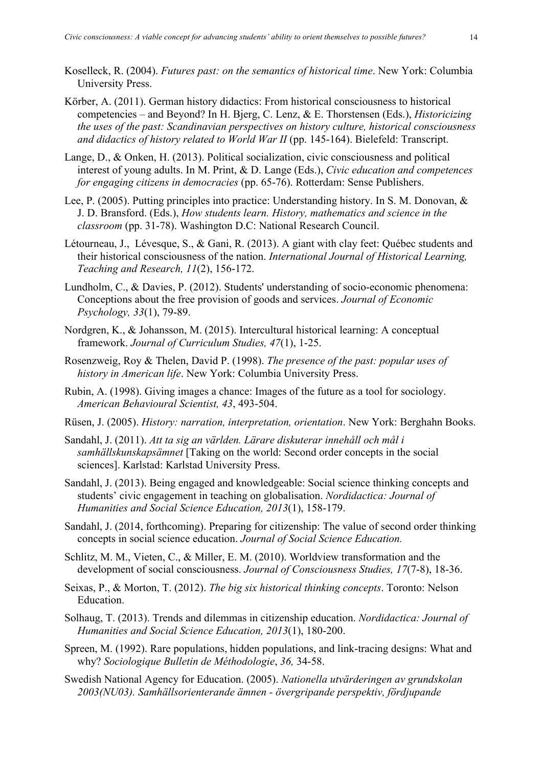- Körber, A. (2011). German history didactics: From historical consciousness to historical competencies – and Beyond? In H. Bjerg, C. Lenz, & E. Thorstensen (Eds.), *Historicizing the uses of the past: Scandinavian perspectives on history culture, historical consciousness and didactics of history related to World War II* (pp. 145-164). Bielefeld: Transcript.
- Lange, D., & Onken, H. (2013). Political socialization, civic consciousness and political interest of young adults. In M. Print, & D. Lange (Eds.), *Civic education and competences for engaging citizens in democracies* (pp. 65-76). Rotterdam: Sense Publishers.
- Lee, P. (2005). Putting principles into practice: Understanding history. In S. M. Donovan, & J. D. Bransford. (Eds.), *How students learn. History, mathematics and science in the classroom* (pp. 31-78). Washington D.C: National Research Council.
- Létourneau, J., Lévesque, S., & Gani, R. (2013). A giant with clay feet: Québec students and their historical consciousness of the nation. *International Journal of Historical Learning, Teaching and Research, 11*(2), 156-172.
- Lundholm, C., & Davies, P. (2012). Students' understanding of socio-economic phenomena: Conceptions about the free provision of goods and services. *Journal of Economic Psychology, 33*(1), 79-89.
- Nordgren, K., & Johansson, M. (2015). Intercultural historical learning: A conceptual framework. *Journal of Curriculum Studies, 47*(1), 1-25.
- Rosenzweig, Roy & Thelen, David P. (1998). *The presence of the past: popular uses of history in American life*. New York: Columbia University Press.
- Rubin, A. (1998). Giving images a chance: Images of the future as a tool for sociology. *American Behavioural Scientist, 43*, 493-504.
- Rüsen, J. (2005). *History: narration, interpretation, orientation*. New York: Berghahn Books.
- Sandahl, J. (2011). *Att ta sig an världen. Lärare diskuterar innehåll och mål i samhällskunskapsämnet* [Taking on the world: Second order concepts in the social sciences]. Karlstad: Karlstad University Press.
- Sandahl, J. (2013). Being engaged and knowledgeable: Social science thinking concepts and students' civic engagement in teaching on globalisation. *Nordidactica: Journal of Humanities and Social Science Education, 2013*(1), 158-179.
- Sandahl, J. (2014, forthcoming). Preparing for citizenship: The value of second order thinking concepts in social science education. *Journal of Social Science Education.*
- Schlitz, M. M., Vieten, C., & Miller, E. M. (2010). Worldview transformation and the development of social consciousness. *Journal of Consciousness Studies, 17*(7-8), 18-36.
- Seixas, P., & Morton, T. (2012). *The big six historical thinking concepts*. Toronto: Nelson Education.
- Solhaug, T. (2013). Trends and dilemmas in citizenship education. *Nordidactica: Journal of Humanities and Social Science Education, 2013*(1), 180-200.
- Spreen, M. (1992). Rare populations, hidden populations, and link-tracing designs: What and why? *Sociologique Bulletin de Méthodologie*, *36,* 34-58.
- Swedish National Agency for Education. (2005). *Nationella utvärderingen av grundskolan 2003(NU03). Samhällsorienterande ämnen - övergripande perspektiv, fördjupande*